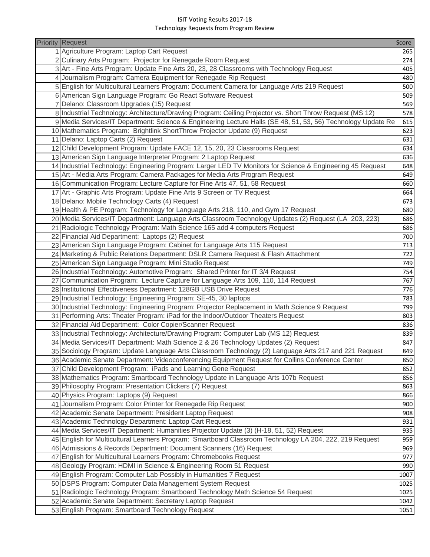## ISIT Voting Results 2017‐18 Technology Requests from Program Review

| <b>Priority Request</b>                                                                                                                                 | Score      |
|---------------------------------------------------------------------------------------------------------------------------------------------------------|------------|
| 1 Agriculture Program: Laptop Cart Request                                                                                                              | 265        |
| 2 Culinary Arts Program: Projector for Renegade Room Request                                                                                            | 274        |
| 3 Art - Fine Arts Program: Update Fine Arts 20, 23, 28 Classrooms with Technology Request                                                               | 405        |
| 4 Journalism Program: Camera Equipment for Renegade Rip Request                                                                                         | 480        |
| 5 English for Multicultural Learners Program: Document Camera for Language Arts 219 Request                                                             |            |
| 6 American Sign Language Program: Go React Software Request                                                                                             |            |
| 7 Delano: Classroom Upgrades (15) Request                                                                                                               |            |
| 8 Industrial Technology: Architecture/Drawing Program: Ceiling Projector vs. Short Throw Request (MS 12)                                                |            |
| 9 Media Services/IT Department: Science & Engineering Lecture Halls (SE 48, 51, 53, 56) Technology Update Re                                            | 615        |
| 10 Mathematics Program: Brightlink ShortThrow Projector Update (9) Request                                                                              | 623        |
| 11 Delano: Laptop Carts (2) Request                                                                                                                     | 631        |
| 12 Child Development Program: Update FACE 12, 15, 20, 23 Classrooms Request                                                                             | 634        |
| 13 American Sign Language Interpreter Program: 2 Laptop Request                                                                                         | 636        |
| 14 Industrial Technology: Engineering Program: Larger LED TV Monitors for Science & Engineering 45 Request                                              | 648        |
| 15 Art - Media Arts Program: Camera Packages for Media Arts Program Request                                                                             | 649        |
| 16 Communication Program: Lecture Capture for Fine Arts 47, 51, 58 Request                                                                              | 660        |
| 17 Art - Graphic Arts Program: Update Fine Arts 9 Screen or TV Request                                                                                  | 664        |
| 18 Delano: Mobile Technology Carts (4) Request                                                                                                          | 673        |
| 19 Health & PE Program: Technology for Language Arts 218, 110, and Gym 17 Request                                                                       | 680        |
| 20 Media Services/IT Department: Language Arts Classroom Technology Updates (2) Request (LA 203, 223)                                                   | 686        |
| 21 Radiologic Technology Program: Math Science 165 add 4 computers Request                                                                              | 686        |
| 22 Financial Aid Department: Laptops (2) Request                                                                                                        | 700        |
| 23 American Sign Language Program: Cabinet for Language Arts 115 Request                                                                                | 713        |
| 24 Marketing & Public Relations Department: DSLR Camera Request & Flash Attachment                                                                      | 722        |
| 25 American Sign Language Program: Mini Studio Request                                                                                                  | 749        |
| 26 Industrial Technology: Automotive Program: Shared Printer for IT 3/4 Request                                                                         |            |
|                                                                                                                                                         | 754        |
| 27 Communication Program: Lecture Capture for Language Arts 109, 110, 114 Request<br>28 Institutional Effectiveness Department: 128GB USB Drive Request | 767<br>776 |
|                                                                                                                                                         |            |
| 29 Industrial Technology: Engineering Program: SE-45, 30 laptops                                                                                        | 783        |
| 30 Industrial Technology: Engineering Program: Projector Replacement in Math Science 9 Request                                                          | 799        |
| 31 Performing Arts: Theater Program: iPad for the Indoor/Outdoor Theaters Request                                                                       | 803        |
| 32 Financial Aid Department: Color Copier/Scanner Request                                                                                               | 836        |
| 33 Industrial Technology: Architecture/Drawing Program: Computer Lab (MS 12) Request                                                                    | 839        |
| 34 Media Services/IT Department: Math Science 2 & 26 Technology Updates (2) Request                                                                     | 847        |
| 35 Sociology Program: Update Language Arts Classroom Technology (2) Language Arts 217 and 221 Request                                                   | 849        |
| 36 Academic Senate Department: Videoconferencing Equipment Request for Collins Conference Center                                                        | 850        |
| 37 Child Development Program: iPads and Learning Gene Request                                                                                           | 852        |
| 38 Mathematics Program: Smartboard Technology Update in Language Arts 107b Request                                                                      | 856        |
| 39 Philosophy Program: Presentation Clickers (7) Request                                                                                                | 863        |
| 40 Physics Program: Laptops (9) Request                                                                                                                 | 866        |
| 41 Journalism Program: Color Printer for Renegade Rip Request                                                                                           | 900        |
| 42 Academic Senate Department: President Laptop Request                                                                                                 | 908        |
| 43 Academic Technology Department: Laptop Cart Request                                                                                                  | 931        |
| 44 Media Services/IT Department: Humanities Projector Update (3) (H-18, 51, 52) Request                                                                 | 935        |
| 45 English for Multicultural Learners Program: Smartboard Classroom Technology LA 204, 222, 219 Request                                                 | 959        |
| 46 Admissions & Records Department: Document Scanners (16) Request                                                                                      | 969        |
| 47 English for Multicultural Learners Program: Chromebooks Request                                                                                      | 977        |
| 48 Geology Program: HDMI in Science & Engineering Room 51 Request                                                                                       | 990        |
| 49 English Program: Computer Lab Possibly in Humanities 7 Request                                                                                       | 1007       |
| 50 DSPS Program: Computer Data Management System Request                                                                                                | 1025       |
| 51 Radiologic Technology Program: Smartboard Technology Math Science 54 Request                                                                         | 1025       |
| 52 Academic Senate Department: Secretary Laptop Request                                                                                                 | 1042       |
| 53 English Program: Smartboard Technology Request                                                                                                       | 1051       |